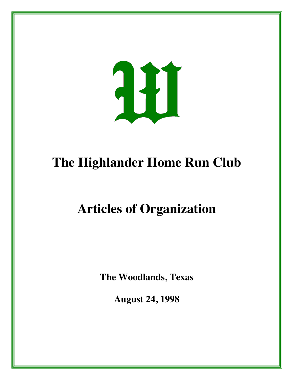

## **The Highlander Home Run Club**

## **Articles of Organization**

**The Woodlands, Texas**

**August 24, 1998**